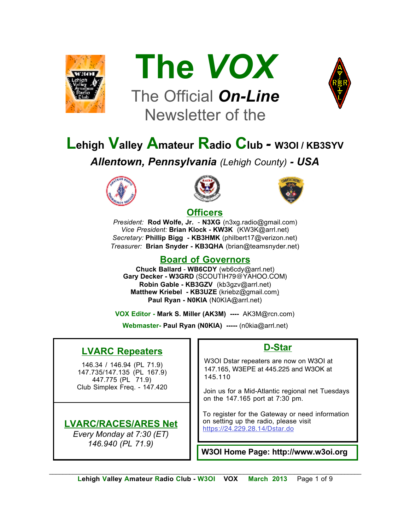



# The Official *On-Line* Newsletter of the



# **Lehigh Valley Amateur Radio Club** *-* **W3OI / KB3SYV**

*Allentown, Pennsylvania (Lehigh County) - USA*







#### **Officers**

*President:* **Rod Wolfe, Jr.** - **N3XG** (n3xg.radio@gmail.com) *Vice President:* **Brian Klock - KW3K** (KW3K@arrl.net) *Secretary:* **Phillip Bigg - KB3HMK** (philbert17@verizon.net) *Treasurer:* **Brian Snyder - KB3QHA** (brian@teamsnyder.net)

#### **Board of Governors**

**Chuck Ballard** - **WB6CDY** (wb6cdy@arrl.net) **Gary Decker - W3GRD** (SCOUTIH79@YAHOO.COM) **Robin Gable - KB3GZV** (kb3gzv@arrl.net) **Matthew Kriebel - KB3UZE** (kriebz@gmail.com) **Paul Ryan - N0KIA** (N0KIA@arrl.net)

**VOX Editor - Mark S. Miller (AK3M) ----** AK3M@rcn.com)

**Webmaster- Paul Ryan (N0KIA) -----** (n0kia@arrl.net)

#### **LVARC Repeaters**

146.34 / 146.94 (PL 71.9) 147.735/147.135 (PL 167.9) 447.775 (PL 71.9) Club Simplex Freq. - 147.420

#### **LVARC/RACES/ARES Net**

*Every Monday at 7:30 (ET) 146.940 (PL 71.9)*

#### **D-Star**

W3OI Dstar repeaters are now on W3OI at 147.165, W3EPE at 445.225 and W3OK at 145.110

Join us for a Mid-Atlantic regional net Tuesdays on the 147.165 port at 7:30 pm.

To register for the Gateway or need information on setting up the radio, please visit https://24.229.28.14/Dstar.do

**W3OI Home Page: http://www.w3oi.org**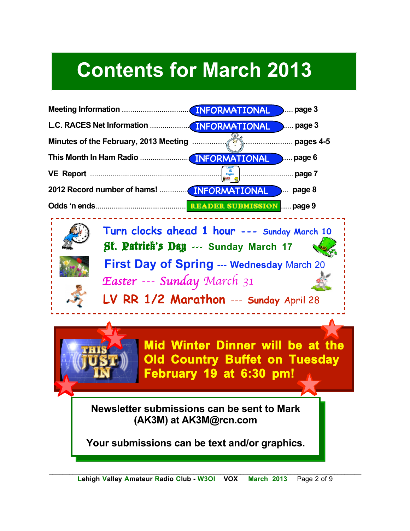# **Contents for March 2013**





**Mid Winter Dinner will be at the Old Country Buffet on Tuesday February 19 at 6:30 pm!**

**Newsletter submissions can be sent to Mark (AK3M) at AK3M@rcn.com**

**Your submissions can be text and/or graphics.**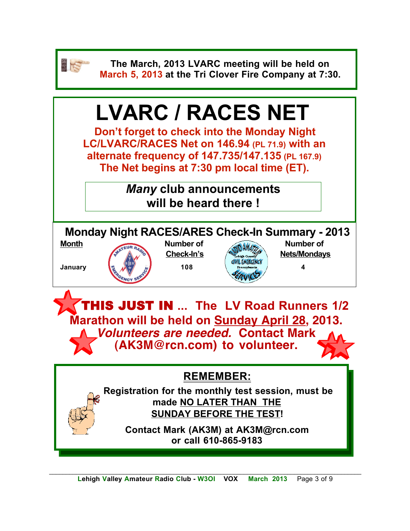

**The March, 2013 LVARC meeting will be held on March 5, 2013 at the Tri Clover Fire Company at 7:30.**

# **LVARC / RACES NET**

**Don't forget to check into the Monday Night LC/LVARC/RACES Net on 146.94 (PL 71.9) with an alternate frequency of 147.735/147.135 (PL 167.9) The Net begins at 7:30 pm local time (ET).** 

> *Many* **club announcements will be heard there !**

**Monday Night RACES/ARES Check-In Summary - 2013** Month **Number of <b>Number of Number of Number of** 





**Check-In's Alexandry Rets/Mondays** 

 THIS JUST IN **... The LV Road Runners 1/2 Marathon will be held on Sunday April 28, 2013.**  *Volunteers are needed.* **Contact Mark (AK3M@rcn.com) to volunteer.**

## **REMEMBER:**

**Registration for the monthly test session, must be made NO LATER THAN THE SUNDAY BEFORE THE TEST!** 

> **Contact Mark (AK3M) at AK3M@rcn.com or call 610-865-9183**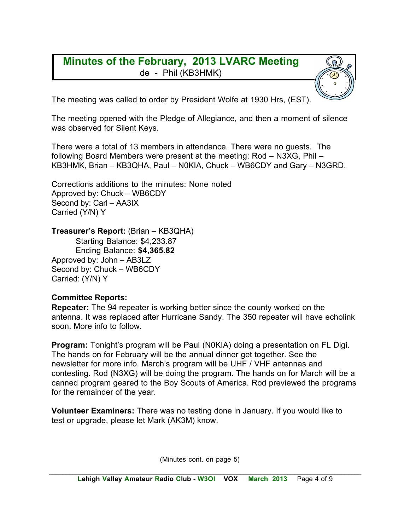#### **Minutes of the February, 2013 LVARC Meeting** de - Phil (KB3HMK)

The meeting was called to order by President Wolfe at 1930 Hrs, (EST).

The meeting opened with the Pledge of Allegiance, and then a moment of silence was observed for Silent Keys.

There were a total of 13 members in attendance. There were no guests. The following Board Members were present at the meeting: Rod – N3XG, Phil – KB3HMK, Brian – KB3QHA, Paul – N0KIA, Chuck – WB6CDY and Gary – N3GRD.

Corrections additions to the minutes: None noted Approved by: Chuck – WB6CDY Second by: Carl – AA3IX Carried (Y/N) Y

**Treasurer's Report:** (Brian – KB3QHA)

Starting Balance: \$4,233.87 Ending Balance: **\$4,365.82** Approved by: John – AB3LZ Second by: Chuck – WB6CDY Carried: (Y/N) Y

#### **Committee Reports:**

**Repeater:** The 94 repeater is working better since the county worked on the antenna. It was replaced after Hurricane Sandy. The 350 repeater will have echolink soon. More info to follow.

**Program:** Tonight's program will be Paul (N0KIA) doing a presentation on FL Digi. The hands on for February will be the annual dinner get together. See the newsletter for more info. March's program will be UHF / VHF antennas and contesting. Rod (N3XG) will be doing the program. The hands on for March will be a canned program geared to the Boy Scouts of America. Rod previewed the programs for the remainder of the year.

**Volunteer Examiners:** There was no testing done in January. If you would like to test or upgrade, please let Mark (AK3M) know.

(Minutes cont. on page 5)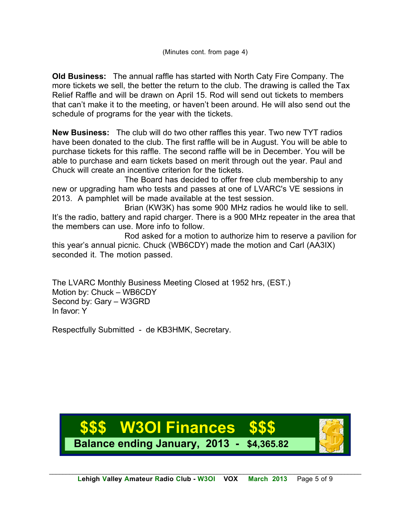**Old Business:** The annual raffle has started with North Caty Fire Company. The more tickets we sell, the better the return to the club. The drawing is called the Tax Relief Raffle and will be drawn on April 15. Rod will send out tickets to members that can't make it to the meeting, or haven't been around. He will also send out the schedule of programs for the year with the tickets.

**New Business:** The club will do two other raffles this year. Two new TYT radios have been donated to the club. The first raffle will be in August. You will be able to purchase tickets for this raffle. The second raffle will be in December. You will be able to purchase and earn tickets based on merit through out the year. Paul and Chuck will create an incentive criterion for the tickets.

The Board has decided to offer free club membership to any new or upgrading ham who tests and passes at one of LVARC's VE sessions in 2013. A pamphlet will be made available at the test session.

Brian (KW3K) has some 900 MHz radios he would like to sell. It's the radio, battery and rapid charger. There is a 900 MHz repeater in the area that the members can use. More info to follow.

Rod asked for a motion to authorize him to reserve a pavilion for this year's annual picnic. Chuck (WB6CDY) made the motion and Carl (AA3IX) seconded it. The motion passed.

The LVARC Monthly Business Meeting Closed at 1952 hrs, (EST.) Motion by: Chuck – WB6CDY Second by: Gary – W3GRD In favor: Y

Respectfully Submitted - de KB3HMK, Secretary.

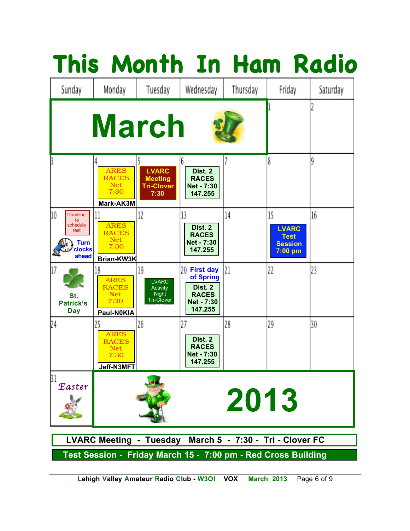|                                                                                   |                                                                 |                                                              |                                                                                         |          |                                                                  | This Month In Ham Radio |
|-----------------------------------------------------------------------------------|-----------------------------------------------------------------|--------------------------------------------------------------|-----------------------------------------------------------------------------------------|----------|------------------------------------------------------------------|-------------------------|
| Sunday                                                                            | Monday                                                          | Tuesday                                                      | Wednesday                                                                               | Thursday | Friday                                                           | Saturday                |
|                                                                                   |                                                                 | <b>March</b>                                                 |                                                                                         |          |                                                                  |                         |
|                                                                                   | <b>ARES</b><br><b>RACES</b><br><b>Net</b><br>7:30<br>Mark-AK3M  | <b>LVARC</b><br><b>Meeting</b><br><b>Tri-Clover</b><br>7:30  | Dist. 2<br><b>RACES</b><br><b>Net - 7:30</b><br>147.255                                 |          | 8                                                                | 9                       |
| 10<br><b>Deadline</b><br>to<br>schedule<br>test<br><b>Turn</b><br>clocks<br>ahead | <b>ARES</b><br><b>RACES</b><br><b>Net</b><br>7:30<br>Brian-KW3K | 12                                                           | 13<br>Dist. 2<br><b>RACES</b><br>Net - 7:30<br>147.255                                  | 14       | 15<br><b>LVARC</b><br><b>Test</b><br><b>Session</b><br>$7:00$ pm | 16                      |
| 17<br>St.<br><b>Patrick's</b><br><b>Day</b>                                       | 18<br><b>ARES</b><br><b>RACES</b><br>Net<br>7:30<br>Paul-N0KIA  | 19<br><b>LVARC</b><br>Activity<br>Night<br><b>Tri-Clover</b> | 20<br><b>First day</b><br>of Spring<br>Dist. 2<br><b>RACES</b><br>Net - 7:30<br>147.255 | 21       | 22                                                               | 23                      |
| 24                                                                                | 25<br><b>ARES</b><br><b>RACES</b><br>Net<br>7:30<br>Jeff-N3MFT  | 26                                                           | 27<br>Dist. 2<br><b>RACES</b><br><b>Net - 7:30</b><br>147.255                           | 28       | 29                                                               | 30                      |
| 31<br>Easter                                                                      |                                                                 |                                                              |                                                                                         | 2013     |                                                                  |                         |
| LVARC Meeting - Tuesday March 5 - 7:30 - Tri - Clover FC                          |                                                                 |                                                              |                                                                                         |          |                                                                  |                         |
| Test Session - Friday March 15 - 7:00 pm - Red Cross Building                     |                                                                 |                                                              |                                                                                         |          |                                                                  |                         |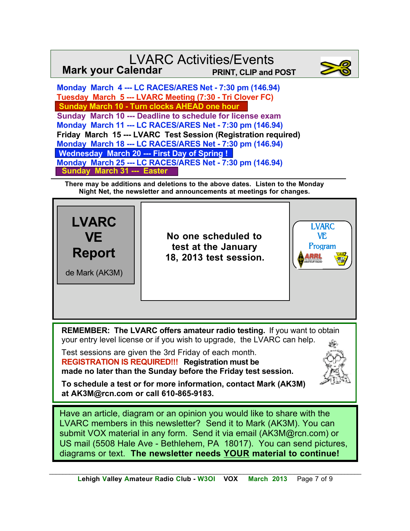#### LVARC Activities/Events **Mark your Calendar PRINT, CLIP and POST**



 **Monday March 4 --- LC RACES/ARES Net - 7:30 pm (146.94) Tuesday March 5 --- LVARC Meeting (7:30 - Tri Clover FC) Sunday March 10 - Turn clocks AHEAD one hour Sunday March 10 --- Deadline to schedule for license exam Monday March 11 --- LC RACES/ARES Net - 7:30 pm (146.94) Friday March 15 --- LVARC Test Session (Registration required) Monday March 18 --- LC RACES/ARES Net - 7:30 pm (146.94) Wednesday March 20 --- First Day of Spring ! Monday March 25 --- LC RACES/ARES Net - 7:30 pm (146.94) Sunday March 31 --- Easter**

**There may be additions and deletions to the above dates. Listen to the Monday Night Net, the newsletter and announcements at meetings for changes.**



*\_\_\_\_\_\_\_\_\_\_\_\_\_\_\_\_\_\_\_\_\_\_\_\_\_\_\_\_\_\_\_\_\_\_\_\_\_\_\_\_\_\_\_\_\_\_\_\_\_\_\_\_\_\_\_\_\_\_\_\_\_\_\_\_\_\_\_\_\_\_\_\_\_\_\_\_\_\_\_\_\_\_\_\_\_\_\_\_\_\_\_\_\_*  **Lehigh Valley Amateur Radio Club - W3OI VOX March 2013** Page 7 of 9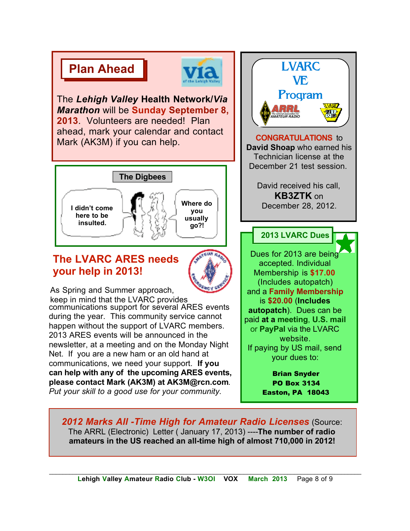# **Plan Ahead**



The *Lehigh Valley* **Health Network/***Via Marathon* will be **Sunday September 8, 2013**. Volunteers are needed! Plan ahead, mark your calendar and contact Mark (AK3M) if you can help.



### **The LVARC ARES needs your help in 2013!**



 As Spring and Summer approach, keep in mind that the LVARC provides communications support for several ARES events during the year. This community service cannot happen without the support of LVARC members. 2013 ARES events will be announced in the newsletter, at a meeting and on the Monday Night Net. If you are a new ham or an old hand at communications, we need your support. **If you can help with any of the upcoming ARES events, please contact Mark (AK3M) at AK3M@rcn.com**. *Put your skill to a good use for your community.*

LVARC **VE** Program **33L** the national association for<br>MATEUR RADIO **CONGRATULATIONS** to **David Shoap** who earned his Technician license at the December 21 test session. David received his call, **KB3ZTK** on December 28, 2012. **2013 LVARC Dues** Dues for 2013 are being accepted. Individual Membership is **\$17.00**  (Includes autopatch) and a **Family Membership** is **\$20.00** (**Includes autopatch**). Dues can be paid **at a meeting**, **U.S. mail** or **PayPal** via the LVARC website. If paying by US mail, send your dues to: Brian Snyder

PO Box 3134 Easton, PA 18043

*2012 Marks All -Time High for Amateur Radio Licenses* (Source: The ARRL (Electronic) Letter ( January 17, 2013) ----**The number of radio amateurs in the US reached an all-time high of almost 710,000 in 2012!**

*\_\_\_\_\_\_\_\_\_\_\_\_\_\_\_\_\_\_\_\_\_\_\_\_\_\_\_\_\_\_\_\_\_\_\_\_\_\_\_\_\_\_\_\_\_\_\_\_\_\_\_\_\_\_\_\_\_\_\_\_\_\_\_\_\_\_\_\_\_\_\_\_\_\_\_\_\_\_\_\_\_\_\_\_\_\_\_\_\_\_\_\_\_*  **Lehigh Valley Amateur Radio Club - W3OI VOX March 2013** Page 8 of 9